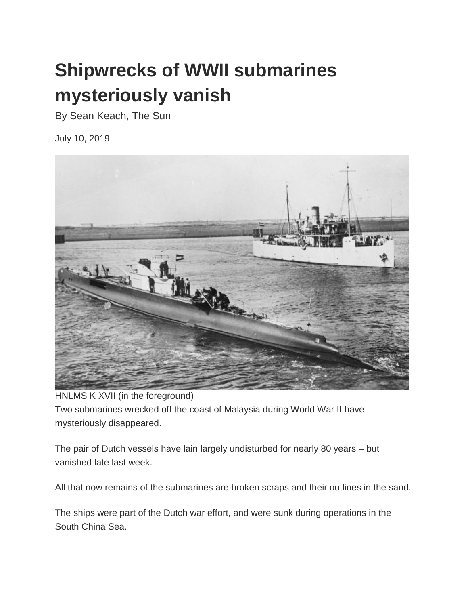## **Shipwrecks of WWII submarines mysteriously vanish**

By Sean Keach, The Sun

July 10, 2019



HNLMS K XVII (in the foreground) Two submarines wrecked off the coast of Malaysia during World War II have mysteriously disappeared.

The pair of Dutch vessels have lain largely undisturbed for nearly 80 years – but vanished late last week.

All that now remains of the submarines are broken scraps and their outlines in the sand.

The ships were part of the Dutch war effort, and were sunk during operations in the South China Sea.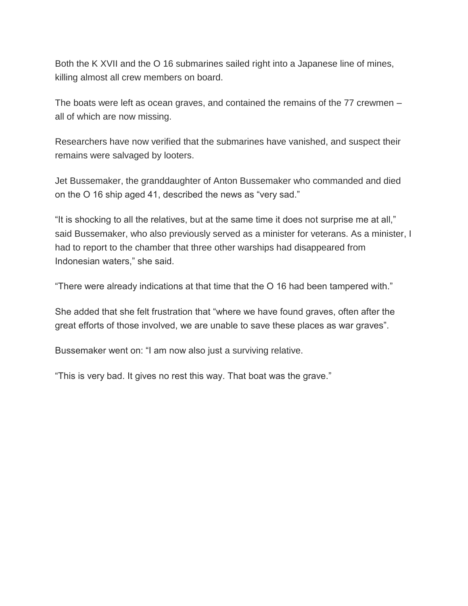Both the K XVII and the O 16 submarines sailed right into a Japanese line of mines, killing almost all crew members on board.

The boats were left as ocean graves, and contained the remains of the 77 crewmen – all of which are now missing.

Researchers have now verified that the submarines have vanished, and suspect their remains were salvaged by looters.

Jet Bussemaker, the granddaughter of Anton Bussemaker who commanded and died on the O 16 ship aged 41, described the news as "very sad."

"It is shocking to all the relatives, but at the same time it does not surprise me at all," said Bussemaker, who also previously served as a minister for veterans. As a minister, I had to report to the chamber that three other warships had disappeared from Indonesian waters," she said.

"There were already indications at that time that the O 16 had been tampered with."

She added that she felt frustration that "where we have found graves, often after the great efforts of those involved, we are unable to save these places as war graves".

Bussemaker went on: "I am now also just a surviving relative.

"This is very bad. It gives no rest this way. That boat was the grave."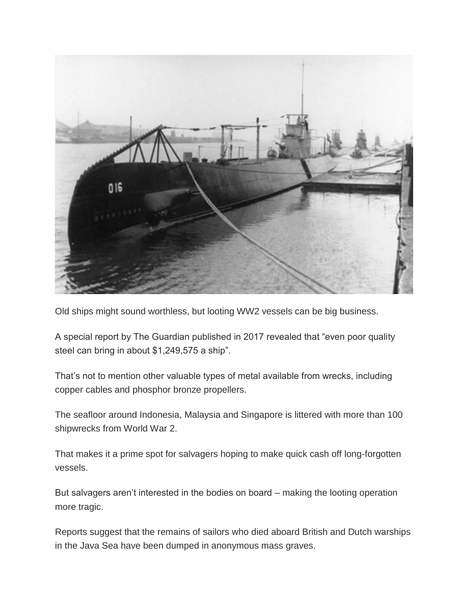

Old ships might sound worthless, but looting WW2 vessels can be big business.

A special report by The Guardian published in 2017 revealed that "even poor quality steel can bring in about \$1,249,575 a ship".

That's not to mention other valuable types of metal available from wrecks, including copper cables and phosphor bronze propellers.

The seafloor around Indonesia, Malaysia and Singapore is littered with more than 100 shipwrecks from World War 2.

That makes it a prime spot for salvagers hoping to make quick cash off long-forgotten vessels.

But salvagers aren't interested in the bodies on board – making the looting operation more tragic.

Reports suggest that the remains of sailors who died aboard British and Dutch warships in the Java Sea have been dumped in anonymous mass graves.